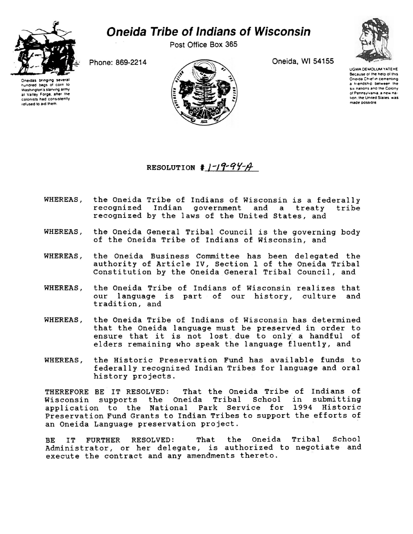

## *Oneida Tribe of Indians of Wisconsin*

Post Office Box 365

Phone: 869-2214

Oneidas bringing se hundred bags 01 corn to Washington s starving army at Valley Forge, after the colonists had consistently tefused to aid them



Oneida, Wl 54155

UGWA DEMOLUM YATEME Because ot the help oi this Oneida Chief in cementing a friendship between the six nations and the Colony o( Pennsylvania, a new nation, the United States was made possible

RESOLUTION  $\frac{1}{4}$   $\frac{1}{4}$   $\frac{1}{4}$   $\frac{1}{4}$ 

- WHEREAS, the Oneida Tribe of Indians of Wisconsin is a federally recognized Indian government and a treaty tribe recognized by the laws of the United States, and
- WHEREAS, the Oneida General Tribal Council is the governing body of the Oneida Tribe of Indians of Wisconsin, and
- WHEREAS, the Oneida Business Committee has been delegated the authority of Article IV, Section 1 of the Oneida Tribal Constitution by the Oneida General Tribal Council, and
- WHEREAS, the Oneida Tribe of Indians of Wisconsin realizes that our language is part of our history, culture and tradition, and
- WHEREAS, the Oneida Tribe of Indians of Wisconsin has determined that the Oneida language must be preserved in order to ensure that it is not lost due to only a handful of elders remaining who speak the language fluently, and
- WHEREAS, the Historic Preservation Fund has available funds to federally recognized Indian Tribes for language and oral history projects.

THEREFORE BE IT RESOLVED: That the Oneida Tribe of Indians of<br>Wisconsin supports, the Oneida Tribal School in submitting Wisconsin supports the Oneida Tribal application to the National Park Service for 1994 Historic Preservation Fund Grants to Indian Tribes to support the efforts of an Oneida Language preservation project.

BE IT FURTHER RESOLVED: That the Oneida Tribal School Administrator, or her delegate, is authorized to negotiate and execute the contract and any amendments thereto.